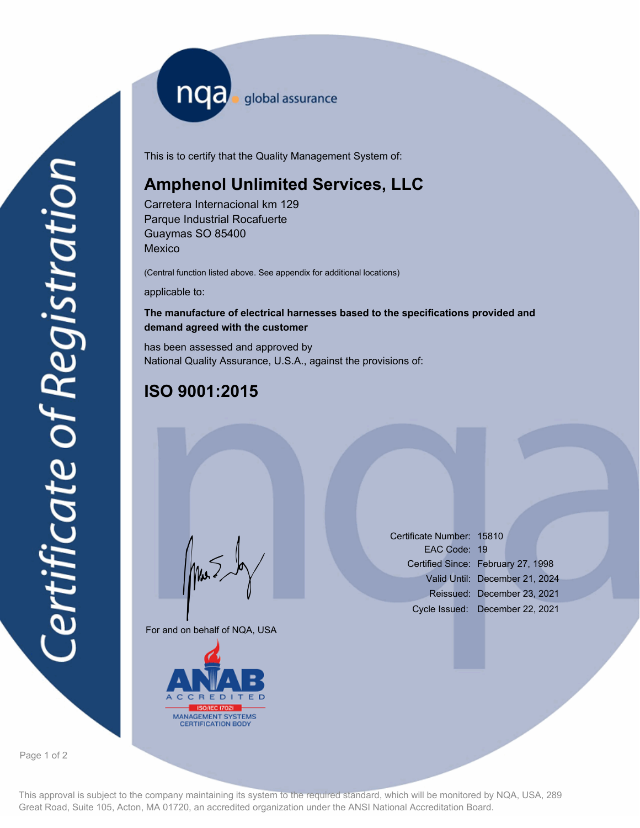nqa <sub>global assurance</sub>

This is to certify that the Quality Management System of:

## **Amphenol Unlimited Services, LLC**

Carretera Internacional km 129 Parque Industrial Rocafuerte Guaymas SO 85400 **Mexico** 

(Central function listed above. See appendix for additional locations)

applicable to:

## **The manufacture of electrical harnesses based to the specifications provided and demand agreed with the customer**

has been assessed and approved by National Quality Assurance, U.S.A., against the provisions of:

## **ISO 9001:2015**

For and on behalf of NQA, USA

Mus



Certificate Number: 15810 EAC Code: 19 Certified Since: February 27, 1998 Valid Until: December 21, 2024 Reissued: December 23, 2021 Cycle Issued: December 22, 2021

Page 1 of 2

This approval is subject to the company maintaining its system to the required standard, which will be monitored by NQA, USA, 289 Great Road, Suite 105, Acton, MA 01720, an accredited organization under the ANSI National Accreditation Board.